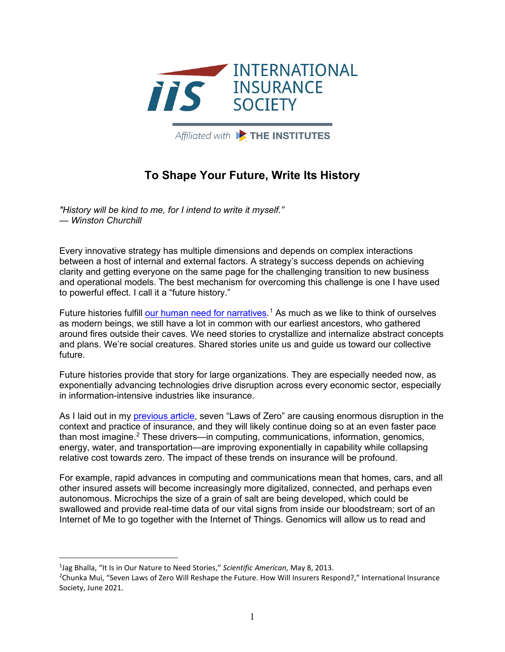

Affiliated with **Extra THE INSTITUTES** 

## **To Shape Your Future, Write Its History**

*"History will be kind to me, for I intend to write it myself." — Winston Churchill*

Every innovative strategy has multiple dimensions and depends on complex interactions between a host of internal and external factors. A strategy's success depends on achieving clarity and getting everyone on the same page for the challenging transition to new business and operational models. The best mechanism for overcoming this challenge is one I have used to powerful effect. I call it a "future history."

Future histories fulfill <u>our human need for narratives</u>.<sup>[1](#page-0-0)</sup> As much as we like to think of ourselves as modern beings, we still have a lot in common with our earliest ancestors, who gathered around fires outside their caves. We need stories to crystallize and internalize abstract concepts and plans. We're social creatures. Shared stories unite us and guide us toward our collective future.

Future histories provide that story for large organizations. They are especially needed now, as exponentially advancing technologies drive disruption across every economic sector, especially in information-intensive industries like insurance.

As I laid out in my [previous article,](https://www.internationalinsurance.org/sites/default/files/2021-07/Seven%20Laws%20of%20Zero%20Will%20Reshape%20the%20Future%20-%206-10-2021.pdf) seven "Laws of Zero" are causing enormous disruption in the context and practice of insurance, and they will likely continue doing so at an even faster pace than most imagine.<sup>2</sup> These drivers—in computing, communications, information, genomics, energy, water, and transportation—are improving exponentially in capability while collapsing relative cost towards zero. The impact of these trends on insurance will be profound.

For example, rapid advances in computing and communications mean that homes, cars, and all other insured assets will become increasingly more digitalized, connected, and perhaps even autonomous. Microchips the size of a grain of salt are being developed, which could be swallowed and provide real-time data of our vital signs from inside our bloodstream; sort of an Internet of Me to go together with the Internet of Things. Genomics will allow us to read and

<span id="page-0-0"></span><sup>1</sup> Jag Bhalla, "It Is in Our Nature to Need Stories," *Scientific American*, May 8, 2013.

<span id="page-0-1"></span><sup>2</sup> Chunka Mui, "Seven Laws of Zero Will Reshape the Future. How Will Insurers Respond?," International Insurance Society, June 2021.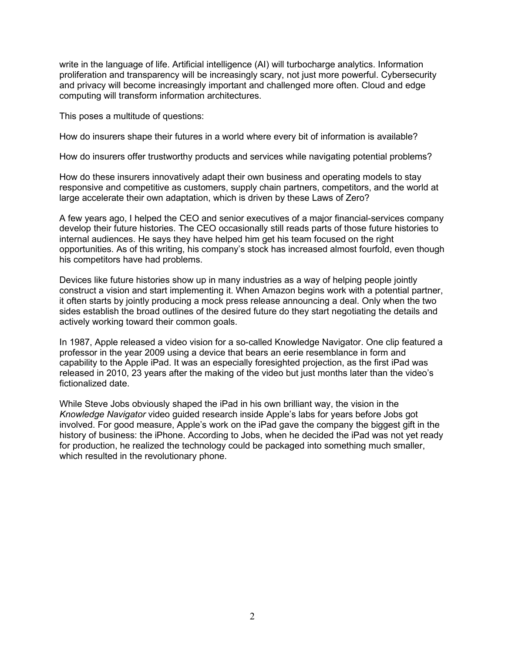write in the language of life. Artificial intelligence (AI) will turbocharge analytics. Information proliferation and transparency will be increasingly scary, not just more powerful. Cybersecurity and privacy will become increasingly important and challenged more often. Cloud and edge computing will transform information architectures.

This poses a multitude of questions:

How do insurers shape their futures in a world where every bit of information is available?

How do insurers offer trustworthy products and services while navigating potential problems?

How do these insurers innovatively adapt their own business and operating models to stay responsive and competitive as customers, supply chain partners, competitors, and the world at large accelerate their own adaptation, which is driven by these Laws of Zero?

A few years ago, I helped the CEO and senior executives of a major financial-services company develop their future histories. The CEO occasionally still reads parts of those future histories to internal audiences. He says they have helped him get his team focused on the right opportunities. As of this writing, his company's stock has increased almost fourfold, even though his competitors have had problems.

Devices like future histories show up in many industries as a way of helping people jointly construct a vision and start implementing it. When Amazon begins work with a potential partner, it often starts by jointly producing a mock press release announcing a deal. Only when the two sides establish the broad outlines of the desired future do they start negotiating the details and actively working toward their common goals.

In 1987, Apple released a video vision for a so-called Knowledge Navigator. One clip featured a professor in the year 2009 using a device that bears an eerie resemblance in form and capability to the Apple iPad. It was an especially foresighted projection, as the first iPad was released in 2010, 23 years after the making of the video but just months later than the video's fictionalized date.

While Steve Jobs obviously shaped the iPad in his own brilliant way, the vision in the *Knowledge Navigator* video guided research inside Apple's labs for years before Jobs got involved. For good measure, Apple's work on the iPad gave the company the biggest gift in the history of business: the iPhone. According to Jobs, when he decided the iPad was not yet ready for production, he realized the technology could be packaged into something much smaller, which resulted in the revolutionary phone.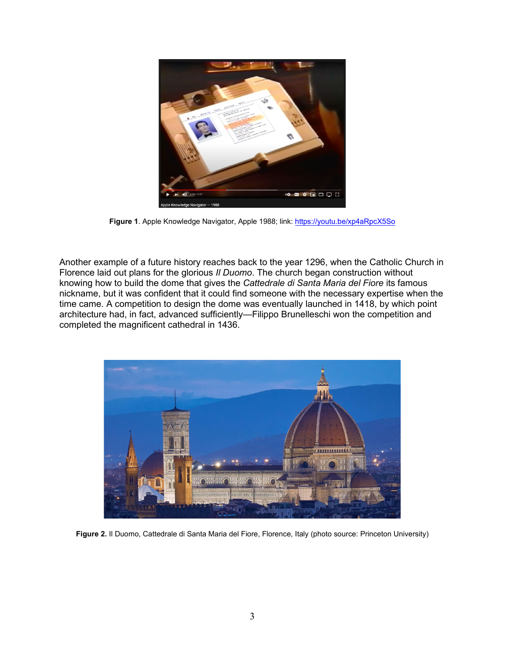

Figure 1. Apple Knowledge Navigator, Apple 1988; link:<https://youtu.be/xp4aRpcX5So>

Another example of a future history reaches back to the year 1296, when the Catholic Church in Florence laid out plans for the glorious *Il Duomo*. The church began construction without knowing how to build the dome that gives the *Cattedrale di Santa Maria del Fiore* its famous nickname, but it was confident that it could find someone with the necessary expertise when the time came. A competition to design the dome was eventually launched in 1418, by which point architecture had, in fact, advanced sufficiently—Filippo Brunelleschi won the competition and completed the magnificent cathedral in 1436.



**Figure 2.** Il Duomo, Cattedrale di Santa Maria del Fiore, Florence, Italy (photo source: Princeton University)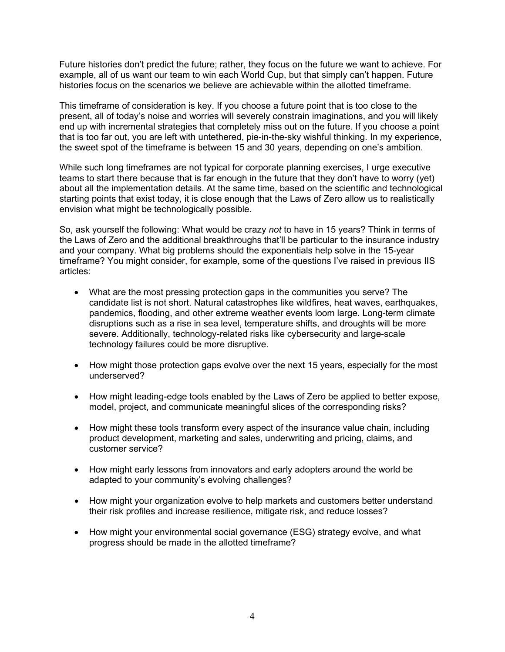Future histories don't predict the future; rather, they focus on the future we want to achieve. For example, all of us want our team to win each World Cup, but that simply can't happen. Future histories focus on the scenarios we believe are achievable within the allotted timeframe.

This timeframe of consideration is key. If you choose a future point that is too close to the present, all of today's noise and worries will severely constrain imaginations, and you will likely end up with incremental strategies that completely miss out on the future. If you choose a point that is too far out, you are left with untethered, pie-in-the-sky wishful thinking. In my experience, the sweet spot of the timeframe is between 15 and 30 years, depending on one's ambition.

While such long timeframes are not typical for corporate planning exercises, I urge executive teams to start there because that is far enough in the future that they don't have to worry (yet) about all the implementation details. At the same time, based on the scientific and technological starting points that exist today, it is close enough that the Laws of Zero allow us to realistically envision what might be technologically possible.

So, ask yourself the following: What would be crazy *not* to have in 15 years? Think in terms of the Laws of Zero and the additional breakthroughs that'll be particular to the insurance industry and your company. What big problems should the exponentials help solve in the 15-year timeframe? You might consider, for example, some of the questions I've raised in previous IIS articles:

- What are the most pressing protection gaps in the communities you serve? The candidate list is not short. Natural catastrophes like wildfires, heat waves, earthquakes, pandemics, flooding, and other extreme weather events loom large. Long-term climate disruptions such as a rise in sea level, temperature shifts, and droughts will be more severe. Additionally, technology-related risks like cybersecurity and large-scale technology failures could be more disruptive.
- How might those protection gaps evolve over the next 15 years, especially for the most underserved?
- How might leading-edge tools enabled by the Laws of Zero be applied to better expose, model, project, and communicate meaningful slices of the corresponding risks?
- How might these tools transform every aspect of the insurance value chain, including product development, marketing and sales, underwriting and pricing, claims, and customer service?
- How might early lessons from innovators and early adopters around the world be adapted to your community's evolving challenges?
- How might your organization evolve to help markets and customers better understand their risk profiles and increase resilience, mitigate risk, and reduce losses?
- How might your environmental social governance (ESG) strategy evolve, and what progress should be made in the allotted timeframe?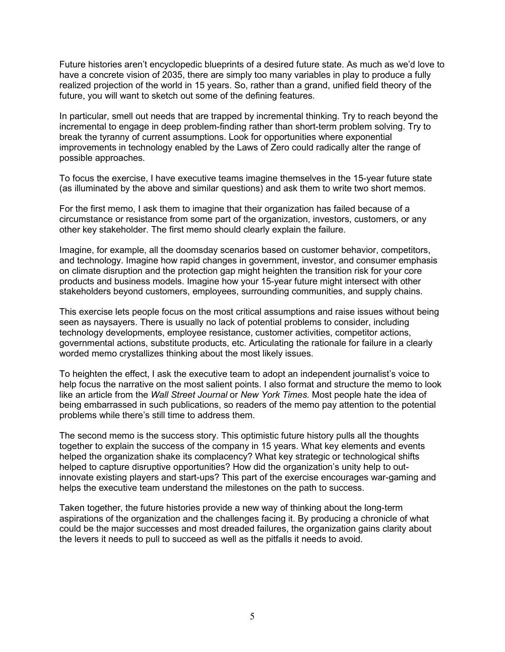Future histories aren't encyclopedic blueprints of a desired future state. As much as we'd love to have a concrete vision of 2035, there are simply too many variables in play to produce a fully realized projection of the world in 15 years. So, rather than a grand, unified field theory of the future, you will want to sketch out some of the defining features.

In particular, smell out needs that are trapped by incremental thinking. Try to reach beyond the incremental to engage in deep problem-finding rather than short-term problem solving. Try to break the tyranny of current assumptions. Look for opportunities where exponential improvements in technology enabled by the Laws of Zero could radically alter the range of possible approaches.

To focus the exercise, I have executive teams imagine themselves in the 15-year future state (as illuminated by the above and similar questions) and ask them to write two short memos.

For the first memo, I ask them to imagine that their organization has failed because of a circumstance or resistance from some part of the organization, investors, customers, or any other key stakeholder. The first memo should clearly explain the failure.

Imagine, for example, all the doomsday scenarios based on customer behavior, competitors, and technology. Imagine how rapid changes in government, investor, and consumer emphasis on climate disruption and the protection gap might heighten the transition risk for your core products and business models. Imagine how your 15-year future might intersect with other stakeholders beyond customers, employees, surrounding communities, and supply chains.

This exercise lets people focus on the most critical assumptions and raise issues without being seen as naysayers. There is usually no lack of potential problems to consider, including technology developments, employee resistance, customer activities, competitor actions, governmental actions, substitute products, etc. Articulating the rationale for failure in a clearly worded memo crystallizes thinking about the most likely issues.

To heighten the effect, I ask the executive team to adopt an independent journalist's voice to help focus the narrative on the most salient points. I also format and structure the memo to look like an article from the *Wall Street Journal* or *New York Times.* Most people hate the idea of being embarrassed in such publications, so readers of the memo pay attention to the potential problems while there's still time to address them.

The second memo is the success story. This optimistic future history pulls all the thoughts together to explain the success of the company in 15 years. What key elements and events helped the organization shake its complacency? What key strategic or technological shifts helped to capture disruptive opportunities? How did the organization's unity help to outinnovate existing players and start-ups? This part of the exercise encourages war-gaming and helps the executive team understand the milestones on the path to success.

Taken together, the future histories provide a new way of thinking about the long-term aspirations of the organization and the challenges facing it. By producing a chronicle of what could be the major successes and most dreaded failures, the organization gains clarity about the levers it needs to pull to succeed as well as the pitfalls it needs to avoid.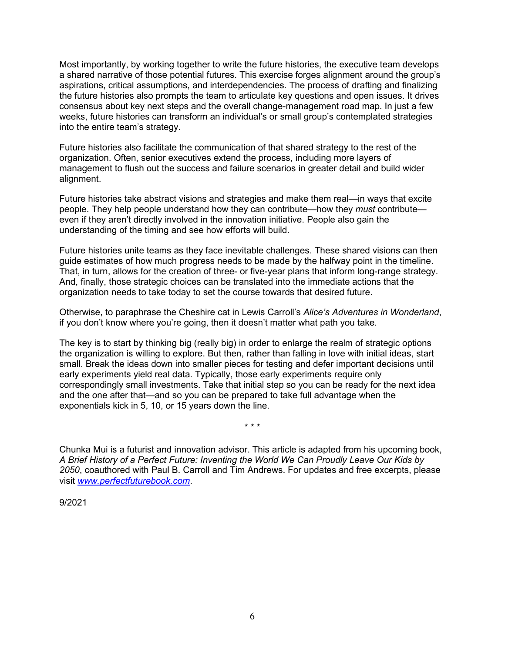Most importantly, by working together to write the future histories, the executive team develops a shared narrative of those potential futures. This exercise forges alignment around the group's aspirations, critical assumptions, and interdependencies. The process of drafting and finalizing the future histories also prompts the team to articulate key questions and open issues. It drives consensus about key next steps and the overall change-management road map. In just a few weeks, future histories can transform an individual's or small group's contemplated strategies into the entire team's strategy.

Future histories also facilitate the communication of that shared strategy to the rest of the organization. Often, senior executives extend the process, including more layers of management to flush out the success and failure scenarios in greater detail and build wider alignment.

Future histories take abstract visions and strategies and make them real—in ways that excite people. They help people understand how they can contribute—how they *must* contribute even if they aren't directly involved in the innovation initiative. People also gain the understanding of the timing and see how efforts will build.

Future histories unite teams as they face inevitable challenges. These shared visions can then guide estimates of how much progress needs to be made by the halfway point in the timeline. That, in turn, allows for the creation of three- or five-year plans that inform long-range strategy. And, finally, those strategic choices can be translated into the immediate actions that the organization needs to take today to set the course towards that desired future.

Otherwise, to paraphrase the Cheshire cat in Lewis Carroll's *Alice's Adventures in Wonderland*, if you don't know where you're going, then it doesn't matter what path you take.

The key is to start by thinking big (really big) in order to enlarge the realm of strategic options the organization is willing to explore. But then, rather than falling in love with initial ideas, start small. Break the ideas down into smaller pieces for testing and defer important decisions until early experiments yield real data. Typically, those early experiments require only correspondingly small investments. Take that initial step so you can be ready for the next idea and the one after that—and so you can be prepared to take full advantage when the exponentials kick in 5, 10, or 15 years down the line.

Chunka Mui is a futurist and innovation advisor. This article is adapted from his upcoming book, *A Brief History of a Perfect Future: Inventing the World We Can Proudly Leave Our Kids by 2050*, coauthored with Paul B. Carroll and Tim Andrews. For updates and free excerpts, please visit *[www.perfectfuturebook.com](http://www.perfectfuturebook.com/)*.

\* \* \*

9/2021